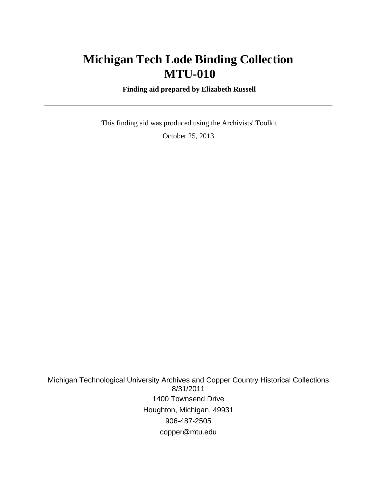# **Michigan Tech Lode Binding Collection MTU-010**

 **Finding aid prepared by Elizabeth Russell**

 This finding aid was produced using the Archivists' Toolkit October 25, 2013

Michigan Technological University Archives and Copper Country Historical Collections 8/31/2011 1400 Townsend Drive Houghton, Michigan, 49931 906-487-2505 copper@mtu.edu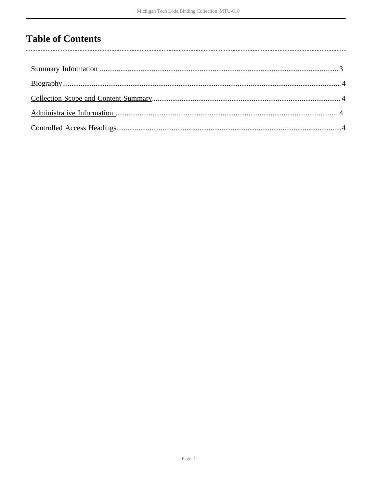# **Table of Contents**

 $\overline{\phantom{a}}$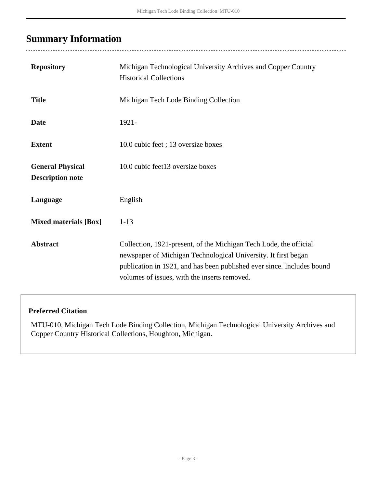# <span id="page-2-0"></span>**Summary Information**

 $\ddotsc$ 

| <b>Repository</b>                                  | Michigan Technological University Archives and Copper Country<br><b>Historical Collections</b>                                                                                                                                                                |
|----------------------------------------------------|---------------------------------------------------------------------------------------------------------------------------------------------------------------------------------------------------------------------------------------------------------------|
| <b>Title</b>                                       | Michigan Tech Lode Binding Collection                                                                                                                                                                                                                         |
| <b>Date</b>                                        | $1921 -$                                                                                                                                                                                                                                                      |
| <b>Extent</b>                                      | 10.0 cubic feet; 13 oversize boxes                                                                                                                                                                                                                            |
| <b>General Physical</b><br><b>Description note</b> | 10.0 cubic feet13 oversize boxes                                                                                                                                                                                                                              |
| Language                                           | English                                                                                                                                                                                                                                                       |
| <b>Mixed materials [Box]</b>                       | $1 - 13$                                                                                                                                                                                                                                                      |
| <b>Abstract</b>                                    | Collection, 1921-present, of the Michigan Tech Lode, the official<br>newspaper of Michigan Technological University. It first began<br>publication in 1921, and has been published ever since. Includes bound<br>volumes of issues, with the inserts removed. |

#### **Preferred Citation**

MTU-010, Michigan Tech Lode Binding Collection, Michigan Technological University Archives and Copper Country Historical Collections, Houghton, Michigan.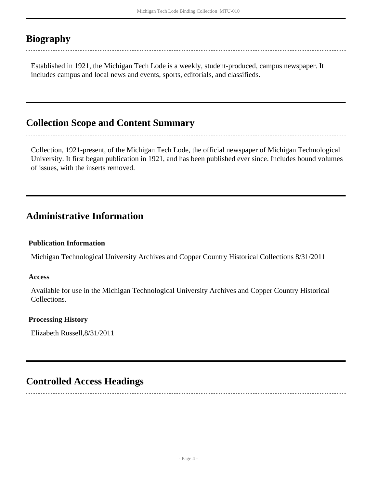# <span id="page-3-0"></span>**Biography**

Established in 1921, the Michigan Tech Lode is a weekly, student-produced, campus newspaper. It includes campus and local news and events, sports, editorials, and classifieds.

## <span id="page-3-1"></span>**Collection Scope and Content Summary**

Collection, 1921-present, of the Michigan Tech Lode, the official newspaper of Michigan Technological University. It first began publication in 1921, and has been published ever since. Includes bound volumes of issues, with the inserts removed.

-------------------------------

## <span id="page-3-2"></span>**Administrative Information**

#### **Publication Information**

Michigan Technological University Archives and Copper Country Historical Collections 8/31/2011

#### **Access**

Available for use in the Michigan Technological University Archives and Copper Country Historical Collections.

#### **Processing History**

Elizabeth Russell,8/31/2011

## <span id="page-3-3"></span>**Controlled Access Headings**